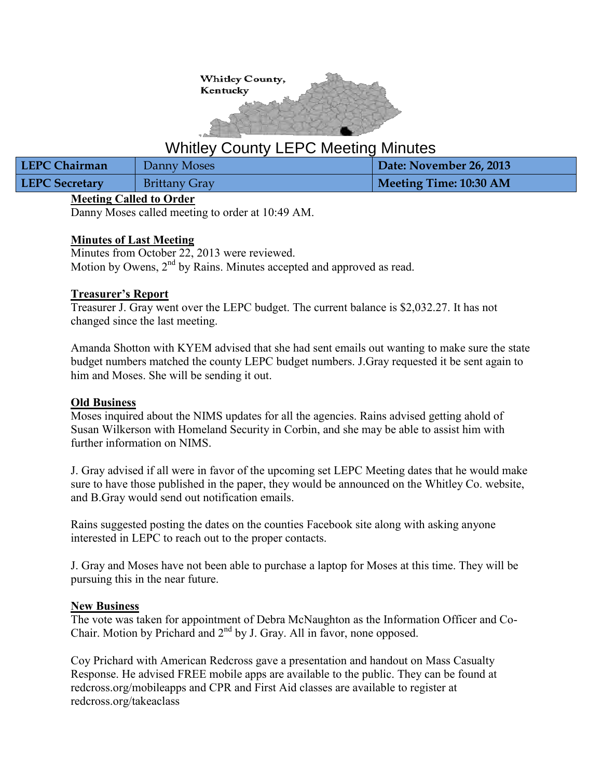

# Whitley County LEPC Meeting Minutes

| <b>LEPC Chairman</b>  | Danny Moses          | Date: November 26, 2013 |
|-----------------------|----------------------|-------------------------|
| <b>LEPC Secretary</b> | <b>Brittany Gray</b> | Meeting Time: 10:30 AM  |

# **Meeting Called to Order**

Danny Moses called meeting to order at 10:49 AM.

# **Minutes of Last Meeting**

Minutes from October 22, 2013 were reviewed. Motion by Owens,  $2<sup>nd</sup>$  by Rains. Minutes accepted and approved as read.

# **Treasurer's Report**

Treasurer J. Gray went over the LEPC budget. The current balance is \$2,032.27. It has not changed since the last meeting.

Amanda Shotton with KYEM advised that she had sent emails out wanting to make sure the state budget numbers matched the county LEPC budget numbers. J.Gray requested it be sent again to him and Moses. She will be sending it out.

#### **Old Business**

Moses inquired about the NIMS updates for all the agencies. Rains advised getting ahold of Susan Wilkerson with Homeland Security in Corbin, and she may be able to assist him with further information on NIMS.

J. Gray advised if all were in favor of the upcoming set LEPC Meeting dates that he would make sure to have those published in the paper, they would be announced on the Whitley Co. website, and B.Gray would send out notification emails.

Rains suggested posting the dates on the counties Facebook site along with asking anyone interested in LEPC to reach out to the proper contacts.

J. Gray and Moses have not been able to purchase a laptop for Moses at this time. They will be pursuing this in the near future.

# **New Business**

The vote was taken for appointment of Debra McNaughton as the Information Officer and Co-Chair. Motion by Prichard and 2nd by J. Gray. All in favor, none opposed.

Coy Prichard with American Redcross gave a presentation and handout on Mass Casualty Response. He advised FREE mobile apps are available to the public. They can be found at redcross.org/mobileapps and CPR and First Aid classes are available to register at redcross.org/takeaclass